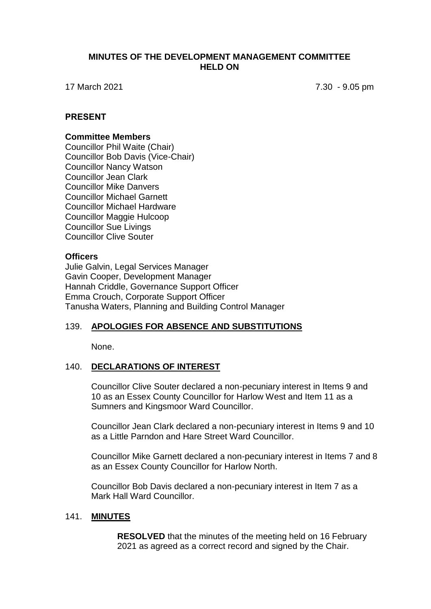#### **MINUTES OF THE DEVELOPMENT MANAGEMENT COMMITTEE HELD ON**

17 March 2021 7.30 - 9.05 pm

### **PRESENT**

#### **Committee Members**

Councillor Phil Waite (Chair) Councillor Bob Davis (Vice-Chair) Councillor Nancy Watson Councillor Jean Clark Councillor Mike Danvers Councillor Michael Garnett Councillor Michael Hardware Councillor Maggie Hulcoop Councillor Sue Livings Councillor Clive Souter

#### **Officers**

Julie Galvin, Legal Services Manager Gavin Cooper, Development Manager Hannah Criddle, Governance Support Officer Emma Crouch, Corporate Support Officer Tanusha Waters, Planning and Building Control Manager

# 139. **APOLOGIES FOR ABSENCE AND SUBSTITUTIONS**

None.

#### 140. **DECLARATIONS OF INTEREST**

Councillor Clive Souter declared a non-pecuniary interest in Items 9 and 10 as an Essex County Councillor for Harlow West and Item 11 as a Sumners and Kingsmoor Ward Councillor.

Councillor Jean Clark declared a non-pecuniary interest in Items 9 and 10 as a Little Parndon and Hare Street Ward Councillor.

Councillor Mike Garnett declared a non-pecuniary interest in Items 7 and 8 as an Essex County Councillor for Harlow North.

Councillor Bob Davis declared a non-pecuniary interest in Item 7 as a Mark Hall Ward Councillor.

#### 141. **MINUTES**

**RESOLVED** that the minutes of the meeting held on 16 February 2021 as agreed as a correct record and signed by the Chair.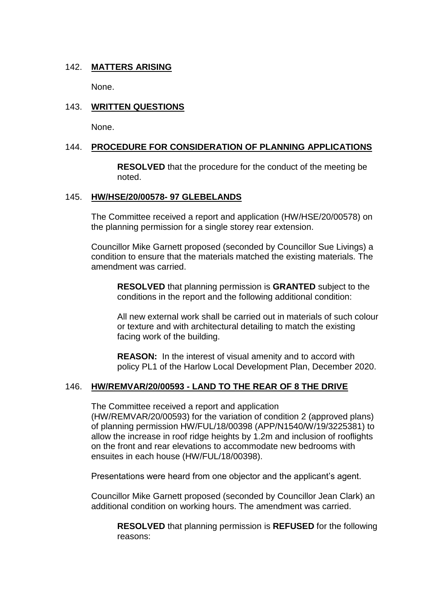# 142. **MATTERS ARISING**

None.

# 143. **WRITTEN QUESTIONS**

None.

# 144. **PROCEDURE FOR CONSIDERATION OF PLANNING APPLICATIONS**

**RESOLVED** that the procedure for the conduct of the meeting be noted.

#### 145. **HW/HSE/20/00578- 97 GLEBELANDS**

The Committee received a report and application (HW/HSE/20/00578) on the planning permission for a single storey rear extension.

Councillor Mike Garnett proposed (seconded by Councillor Sue Livings) a condition to ensure that the materials matched the existing materials. The amendment was carried.

**RESOLVED** that planning permission is **GRANTED** subject to the conditions in the report and the following additional condition:

All new external work shall be carried out in materials of such colour or texture and with architectural detailing to match the existing facing work of the building.

**REASON:** In the interest of visual amenity and to accord with policy PL1 of the Harlow Local Development Plan, December 2020.

# 146. **HW/REMVAR/20/00593 - LAND TO THE REAR OF 8 THE DRIVE**

The Committee received a report and application (HW/REMVAR/20/00593) for the variation of condition 2 (approved plans) of planning permission HW/FUL/18/00398 (APP/N1540/W/19/3225381) to allow the increase in roof ridge heights by 1.2m and inclusion of rooflights on the front and rear elevations to accommodate new bedrooms with ensuites in each house (HW/FUL/18/00398).

Presentations were heard from one objector and the applicant's agent.

Councillor Mike Garnett proposed (seconded by Councillor Jean Clark) an additional condition on working hours. The amendment was carried.

**RESOLVED** that planning permission is **REFUSED** for the following reasons: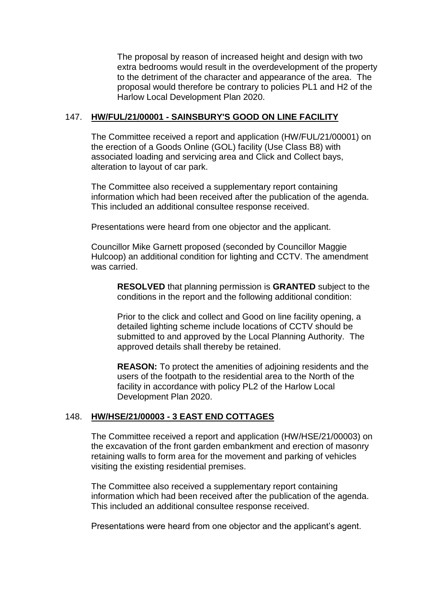The proposal by reason of increased height and design with two extra bedrooms would result in the overdevelopment of the property to the detriment of the character and appearance of the area. The proposal would therefore be contrary to policies PL1 and H2 of the Harlow Local Development Plan 2020.

#### 147. **HW/FUL/21/00001 - SAINSBURY'S GOOD ON LINE FACILITY**

The Committee received a report and application (HW/FUL/21/00001) on the erection of a Goods Online (GOL) facility (Use Class B8) with associated loading and servicing area and Click and Collect bays, alteration to layout of car park.

The Committee also received a supplementary report containing information which had been received after the publication of the agenda. This included an additional consultee response received.

Presentations were heard from one objector and the applicant.

Councillor Mike Garnett proposed (seconded by Councillor Maggie Hulcoop) an additional condition for lighting and CCTV. The amendment was carried.

**RESOLVED** that planning permission is **GRANTED** subject to the conditions in the report and the following additional condition:

Prior to the click and collect and Good on line facility opening, a detailed lighting scheme include locations of CCTV should be submitted to and approved by the Local Planning Authority. The approved details shall thereby be retained.

**REASON:** To protect the amenities of adjoining residents and the users of the footpath to the residential area to the North of the facility in accordance with policy PL2 of the Harlow Local Development Plan 2020.

# 148. **HW/HSE/21/00003 - 3 EAST END COTTAGES**

The Committee received a report and application (HW/HSE/21/00003) on the excavation of the front garden embankment and erection of masonry retaining walls to form area for the movement and parking of vehicles visiting the existing residential premises.

The Committee also received a supplementary report containing information which had been received after the publication of the agenda. This included an additional consultee response received.

Presentations were heard from one objector and the applicant's agent.